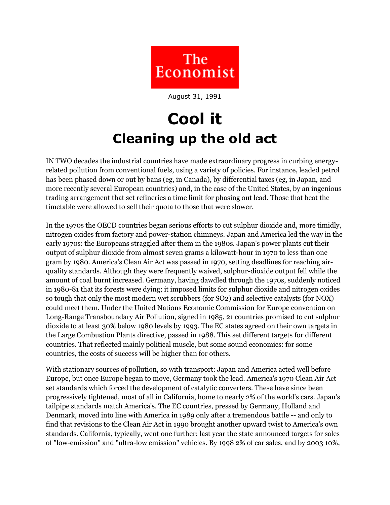

August 31, 1991

## **Cool it Cleaning up the old act**

IN TWO decades the industrial countries have made extraordinary progress in curbing energyrelated pollution from conventional fuels, using a variety of policies. For instance, leaded petrol has been phased down or out by bans (eg, in Canada), by differential taxes (eg, in Japan, and more recently several European countries) and, in the case of the United States, by an ingenious trading arrangement that set refineries a time limit for phasing out lead. Those that beat the timetable were allowed to sell their quota to those that were slower.

In the 1970s the OECD countries began serious efforts to cut sulphur dioxide and, more timidly, nitrogen oxides from factory and power-station chimneys. Japan and America led the way in the early 1970s: the Europeans straggled after them in the 1980s. Japan's power plants cut their output of sulphur dioxide from almost seven grams a kilowatt-hour in 1970 to less than one gram by 1980. America's Clean Air Act was passed in 1970, setting deadlines for reaching airquality standards. Although they were frequently waived, sulphur-dioxide output fell while the amount of coal burnt increased. Germany, having dawdled through the 1970s, suddenly noticed in 1980-81 that its forests were dying; it imposed limits for sulphur dioxide and nitrogen oxides so tough that only the most modern wet scrubbers (for SO2) and selective catalysts (for NOX) could meet them. Under the United Nations Economic Commission for Europe convention on Long-Range Transboundary Air Pollution, signed in 1985, 21 countries promised to cut sulphur dioxide to at least 30% below 1980 levels by 1993. The EC states agreed on their own targets in the Large Combustion Plants directive, passed in 1988. This set different targets for different countries. That reflected mainly political muscle, but some sound economics: for some countries, the costs of success will be higher than for others.

With stationary sources of pollution, so with transport: Japan and America acted well before Europe, but once Europe began to move, Germany took the lead. America's 1970 Clean Air Act set standards which forced the development of catalytic converters. These have since been progressively tightened, most of all in California, home to nearly 2% of the world's cars. Japan's tailpipe standards match America's. The EC countries, pressed by Germany, Holland and Denmark, moved into line with America in 1989 only after a tremendous battle -- and only to find that revisions to the Clean Air Act in 1990 brought another upward twist to America's own standards. California, typically, went one further: last year the state announced targets for sales of "low-emission" and "ultra-low emission" vehicles. By 1998 2% of car sales, and by 2003 10%,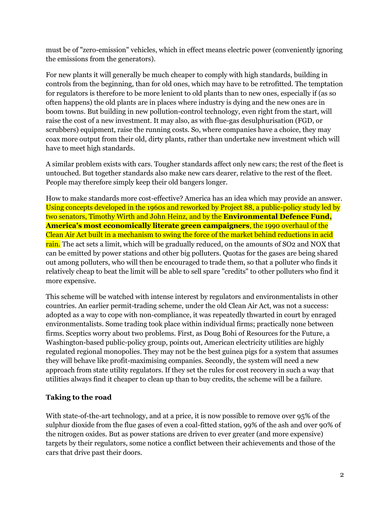must be of "zero-emission" vehicles, which in effect means electric power (conveniently ignoring the emissions from the generators).

For new plants it will generally be much cheaper to comply with high standards, building in controls from the beginning, than for old ones, which may have to be retrofitted. The temptation for regulators is therefore to be more lenient to old plants than to new ones, especially if (as so often happens) the old plants are in places where industry is dying and the new ones are in boom towns. But building in new pollution-control technology, even right from the start, will raise the cost of a new investment. It may also, as with flue-gas desulphurisation (FGD, or scrubbers) equipment, raise the running costs. So, where companies have a choice, they may coax more output from their old, dirty plants, rather than undertake new investment which will have to meet high standards.

A similar problem exists with cars. Tougher standards affect only new cars; the rest of the fleet is untouched. But together standards also make new cars dearer, relative to the rest of the fleet. People may therefore simply keep their old bangers longer.

How to make standards more cost-effective? America has an idea which may provide an answer. Using concepts developed in the 1960s and reworked by Project 88, a public-policy study led by two senators, Timothy Wirth and John Heinz, and by the **Environmental Defence Fund, America's most economically literate green campaigners**, the 1990 overhaul of the Clean Air Act built in a mechanism to swing the force of the market behind reductions in acid rain. The act sets a limit, which will be gradually reduced, on the amounts of SO2 and NOX that can be emitted by power stations and other big polluters. Quotas for the gases are being shared out among polluters, who will then be encouraged to trade them, so that a polluter who finds it relatively cheap to beat the limit will be able to sell spare "credits" to other polluters who find it more expensive.

This scheme will be watched with intense interest by regulators and environmentalists in other countries. An earlier permit-trading scheme, under the old Clean Air Act, was not a success: adopted as a way to cope with non-compliance, it was repeatedly thwarted in court by enraged environmentalists. Some trading took place within individual firms; practically none between firms. Sceptics worry about two problems. First, as Doug Bohi of Resources for the Future, a Washington-based public-policy group, points out, American electricity utilities are highly regulated regional monopolies. They may not be the best guinea pigs for a system that assumes they will behave like profit-maximising companies. Secondly, the system will need a new approach from state utility regulators. If they set the rules for cost recovery in such a way that utilities always find it cheaper to clean up than to buy credits, the scheme will be a failure.

## **Taking to the road**

With state-of-the-art technology, and at a price, it is now possible to remove over 95% of the sulphur dioxide from the flue gases of even a coal-fitted station, 99% of the ash and over 90% of the nitrogen oxides. But as power stations are driven to ever greater (and more expensive) targets by their regulators, some notice a conflict between their achievements and those of the cars that drive past their doors.